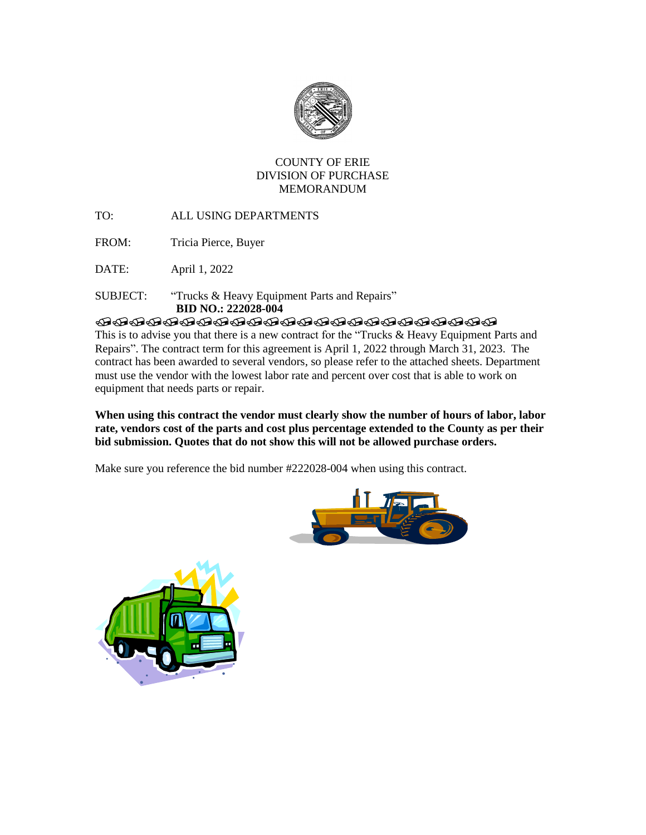

## COUNTY OF ERIE DIVISION OF PURCHASE MEMORANDUM

TO: ALL USING DEPARTMENTS

FROM: Tricia Pierce, Buyer

DATE: April 1, 2022

## SUBJECT: "Trucks & Heavy Equipment Parts and Repairs"  **BID NO.: 222028-004**

**TRADEDADADADADADADADAD** 

This is to advise you that there is a new contract for the "Trucks & Heavy Equipment Parts and Repairs". The contract term for this agreement is April 1, 2022 through March 31, 2023. The contract has been awarded to several vendors, so please refer to the attached sheets. Department must use the vendor with the lowest labor rate and percent over cost that is able to work on equipment that needs parts or repair.

## **When using this contract the vendor must clearly show the number of hours of labor, labor rate, vendors cost of the parts and cost plus percentage extended to the County as per their bid submission. Quotes that do not show this will not be allowed purchase orders.**

Make sure you reference the bid number #222028-004 when using this contract.